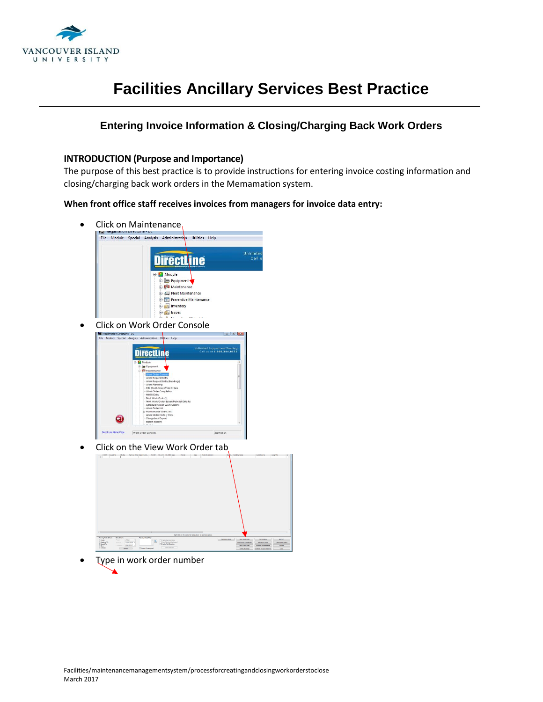

#### **Entering Invoice Information & Closing/Charging Back Work Orders**

#### **INTRODUCTION (Purpose and Importance)**

The purpose of this best practice is to provide instructions for entering invoice costing information and closing/charging back work orders in the Memamation system.

**When front office staff receives invoices from managers for invoice data entry:** 

- Click on Maintenance File Module Special Analysis Administration Utilities Help DirectLine Module **Equipment** Maintenance Fleet Maintenance **Preventive Maintenance** Inventory **Expanding Issues** • Click on Work Order Console mited Support and Training<br>Call us at 1,800,344,8655 **DirectLine** 2019-03-04 Click on the View Work Order tab The Preside Renting Made<br>The Press Planning Made<br>The Press Matrice Banks (1 Trade<br>(1 Assigned To<br>(8 Second To<br>(1 Over
- Type in work order number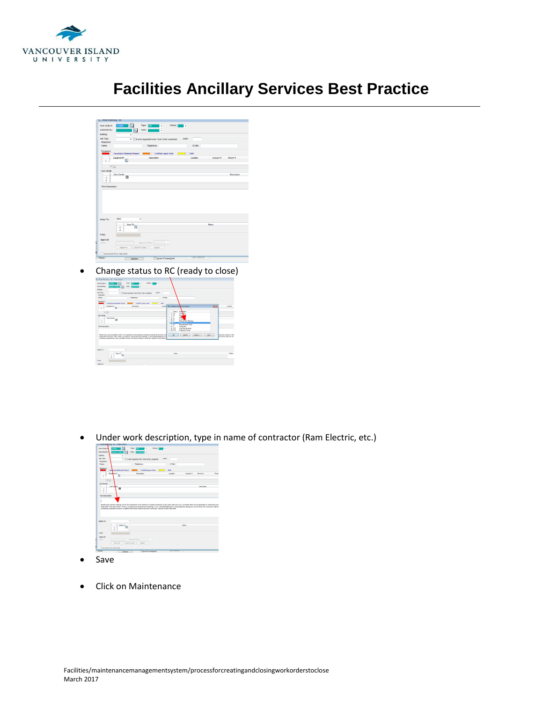



• Change status to RC (ready to close)

| <b>Collinsk Planning - OL - <new b="" follow<=""></new></b>                                                                                                                                                                                                                                                                                                                                                                                        |               |
|----------------------------------------------------------------------------------------------------------------------------------------------------------------------------------------------------------------------------------------------------------------------------------------------------------------------------------------------------------------------------------------------------------------------------------------------------|---------------|
| <b>Status:</b><br>Type: #999<br>Werk Order #:<br><b>DATE: 1</b><br>m<br>٠<br>٠<br>Substitution:<br>Date: Edinburgh -<br>a<br><b>TITLE OWNER</b>                                                                                                                                                                                                                                                                                                    |               |
| <b>Building:</b><br>٠                                                                                                                                                                                                                                                                                                                                                                                                                              |               |
| <b>July Types</b><br>Local:<br>. IT E-mail requested when Work Order constelled<br>Eastweith                                                                                                                                                                                                                                                                                                                                                       |               |
| EMAI-<br>Telephone:<br>None:                                                                                                                                                                                                                                                                                                                                                                                                                       |               |
| Equipment<br>Heardous Nationals Present<br><b>Confered space Viole</b><br>$\Box$ Ti beh                                                                                                                                                                                                                                                                                                                                                            |               |
| <b>Description</b><br>Equipment #<br>Locator - Australia Hos Cyder Status<br><b>COM</b><br>п<br>$\sim$                                                                                                                                                                                                                                                                                                                                             | Location      |
| Status:<br>Current<br>$\frac{1}{2}$<br>Canadian                                                                                                                                                                                                                                                                                                                                                                                                    |               |
| $\frac{1}{2}$<br>ica<br>CL<br>Cost Center<br>Comp<br>ь<br>Cost Center                                                                                                                                                                                                                                                                                                                                                                              |               |
| $1 - 1$<br>١e<br><b>Suite Color</b><br>$\mathbf{B}$<br>٠<br>и<br>Ramed a <i>in Planning</i>                                                                                                                                                                                                                                                                                                                                                        |               |
| ٠<br>163<br><b>Returnstiton Trade</b>                                                                                                                                                                                                                                                                                                                                                                                                              |               |
| ï<br>Schedulett<br><b>She's Description</b><br>š<br>16P<br><b>Schol Englishmental</b>                                                                                                                                                                                                                                                                                                                                                              |               |
| to hyt<br>Walkerin Trade                                                                                                                                                                                                                                                                                                                                                                                                                           |               |
| Please note: Several buildings within 10.0 pper stone have advertise containing nativials (ACM) within the<br><b>Bang the location of thes</b><br>$\alpha$<br>Search.<br><b>Birs</b><br>Cancel<br>have sele of the door frame. Where a contractor enoughers is all materials, or any materials televised to<br>best PSCD until it can be a<br>contempt meterials have been compled with and the hazed has been confirmed, reduced, and/or eliminal |               |
| ٠<br><b>Assign Ter</b>                                                                                                                                                                                                                                                                                                                                                                                                                             |               |
| <b>Jone To</b><br>Nature<br>国<br>$\overline{1}$<br>×                                                                                                                                                                                                                                                                                                                                                                                               | <b>Status</b> |
| <b>P.MA</b>                                                                                                                                                                                                                                                                                                                                                                                                                                        |               |
| Approval                                                                                                                                                                                                                                                                                                                                                                                                                                           |               |

Under work description, type in name of contractor (Ram Electric, etc.)



- Save
- Click on Maintenance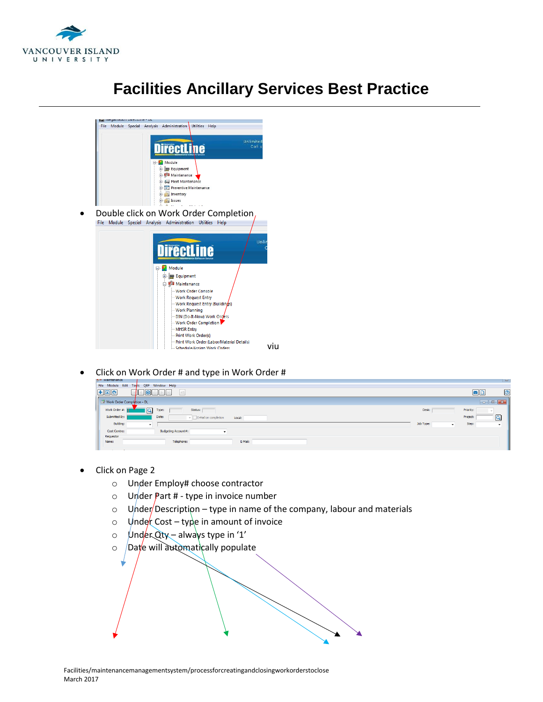



Click on Work Order # and type in Work Order #



- Click on Page 2
	- o Under Employ# choose contractor
	- $\circ$  Under Part # type in invoice number
	- $\circ$  Under Description type in name of the company, labour and materials
	- o Under Cost type in amount of invoice
	- $\circ$  Under Qty always type in '1'
	- $\circ$  Date will automatically populate

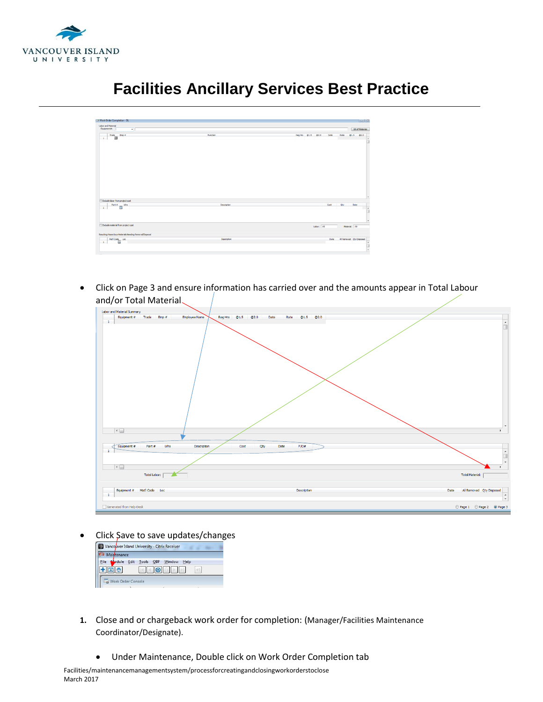

#### Labor and Material<br>Equipment#:  $\overline{\mathbf{r}}$  $B_0$  $\begin{array}{c|c|c|c|c} \multicolumn{3}{c|}{\textbf{Trace}} & \multicolumn{3}{c}{\textbf{Exp}} & \multicolumn{3}{c}{\textbf{Step 4}}\\ \multicolumn{3}{c|}{\textbf{Trace}} & \multicolumn{3}{c}{\textbf{Exp}} & \multicolumn{3}{c}{\textbf{Step 5}}\\ \multicolumn{3}{c}{\textbf{1}} & \multicolumn{3}{c}{\textbf{Trace}} & \multicolumn{3}{c}{\textbf{Exp}} & \multicolumn{3}{c}{\textbf{Step 6}}\\ \multicolumn{3}{c}{\textbf{1}} & \multicolumn{3}{c}{\textbf{Trace}} & \multicolumn{$ Regists 01.5 02.0 Date Rate 01.5 02.0  $\begin{tabular}{|c|c|} \hline \rule{0pt}{3ex}{{\bf{Evaluate labor from project cost}}} \\ \hline 1 & {\bf Part $e$} \\ \hline \end{tabular}$ Labor:  $\overline{1,00}$  $\begin{array}{c|c} \multicolumn{3}{c|}{\textbf{Mst} \textbf{Code}} & \textbf{Loc} \\ \multicolumn{2}{c|}{\textbf{1}} & \multicolumn{2}{c|}{\textbf{Mst} \textbf{Code}} \\ \end{array}$

## **Facilities Ancillary Services Best Practice**

 Click on Page 3 and ensure information has carried over and the amounts appear in Total Labour and/or Total Material

| Labor and Material Summary                                                       |                                             |                                                                        |
|----------------------------------------------------------------------------------|---------------------------------------------|------------------------------------------------------------------------|
| Employee Name<br>Equipment # Trade Emp #                                         | Reg Hrs @1.5 @2.0<br>Date<br>Rate @1.5 @2.0 |                                                                        |
| $\mathbf{1}$                                                                     |                                             |                                                                        |
| $\vert \cdot \vert$                                                              |                                             |                                                                        |
|                                                                                  |                                             |                                                                        |
| Whs<br>Equipment #<br>Part #<br>Description<br>$\mathbf{1}$<br>$\vert\cdot\vert$ | Cost<br>Qty<br>Date<br>P/O#                 |                                                                        |
| Total Labor:                                                                     |                                             | <b>Total Material:</b>                                                 |
| Equipment # Mat'l Code Loc<br>$\mathbf{1}$                                       | Description                                 | All Removed Qty Disposed<br>Date<br>$\sim$<br>$\overline{\phantom{a}}$ |
| Generated from Help-Desk                                                         |                                             | Page 1 Page 2 O Page 3                                                 |

• Click Save to save updates/changes



- **1.** Close and or chargeback work order for completion: (Manager/Facilities Maintenance Coordinator/Designate).
	- Under Maintenance, Double click on Work Order Completion tab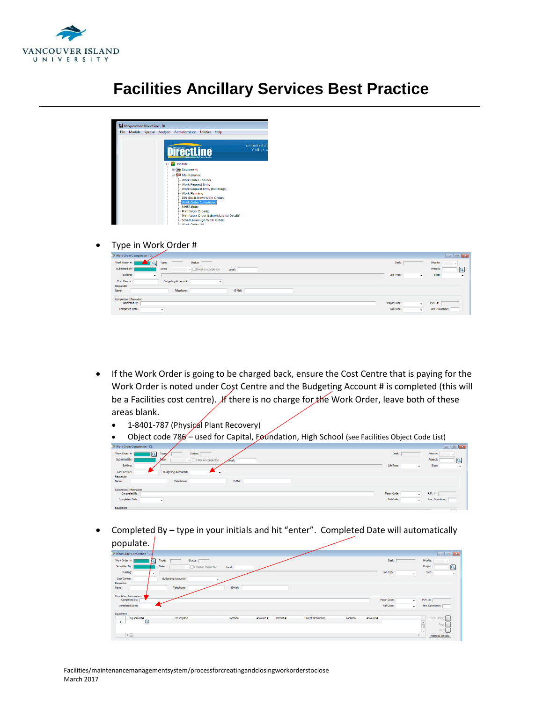

| <b>File</b> | Megamation DirectLine - DL<br>Module | Special Analysis | Administration<br><b>Utilities</b><br>Help  |              |
|-------------|--------------------------------------|------------------|---------------------------------------------|--------------|
|             |                                      |                  |                                             | Unlimited St |
|             |                                      |                  | <b>DirectLine</b>                           | Call us a    |
|             |                                      |                  | Module                                      |              |
|             |                                      |                  | <b>Equipment</b><br>国一                      |              |
|             |                                      |                  | <b>Maintenance</b>                          |              |
|             |                                      |                  | - Work Order Console                        |              |
|             |                                      |                  | - Work Request Entry                        |              |
|             |                                      |                  | -- Work Request Entry (Buildings)           |              |
|             |                                      |                  | - Work Planning                             |              |
|             |                                      |                  | -- DIN (Do-It-Now) Work Orders              |              |
|             |                                      |                  | <b>Work Order Completion</b>                |              |
|             |                                      |                  | - MHSR Entry                                |              |
|             |                                      |                  | -- Print Work Order(s)                      |              |
|             |                                      |                  | - Print Work Order (Labor/Material Details) |              |
|             |                                      |                  | - Schedule/Assign Work Orders               |              |
|             |                                      |                  | 1. Month Order Het                          |              |

Type in Work Order #

| X Work Order Completion - DL                             |             |         | $\begin{array}{ c c c }\hline \textbf{} & \textbf{} \end{array}$ |
|----------------------------------------------------------|-------------|---------|------------------------------------------------------------------|
| Work Order #: $\Box$<br>Status:<br>Q<br>Type:            | Desk:       |         | Priority:                                                        |
| Submitted By:<br>Date:<br>E-Mail on completion<br>Local: |             |         | $\overline{a}$<br>Project:                                       |
| Building:<br>$\cdot$                                     | Job Type:   | ۰.      | Step:<br>$\cdot$                                                 |
| Budgeting Account#:<br>Cost Centre:                      |             |         |                                                                  |
| Requestor                                                |             |         |                                                                  |
| Telephone:<br>E-Mail:<br>Name:                           |             |         |                                                                  |
| Completion Information<br>Completed By:                  | Major Code: | $\cdot$ | P.M. #:                                                          |
| <b>Completed Date:</b><br>$\cdot$                        | Fail Code:  | $\cdot$ | ____<br>Hrs. Downtime:                                           |

- If the Work Order is going to be charged back, ensure the Cost Centre that is paying for the Work Order is noted under Cost Centre and the Budgeting Account # is completed (this will be a Facilities cost centre). If there is no charge for the Work Order, leave both of these areas blank.
	- 1-8401-787 (Physical Plant Recovery)
	- Object code 786 used for Capital, Foundation, High School (see Facilities Object Code List)

| Work Order Completion - DL               |                                       |               |             | $ -$                      |          |
|------------------------------------------|---------------------------------------|---------------|-------------|---------------------------|----------|
| $\overline{\mathbf{a}}$<br>Work Order #: | Status:<br>Type:/                     |               | Desk:       | Priority:                 |          |
| Submitted By:                            | Date:<br>E-Mail on completion<br>$-1$ | <b>Zocal:</b> |             | Project:                  | $\alpha$ |
| Building:                                |                                       |               | Job Type:   | Step:<br>$\star$          | $\cdot$  |
| Cost Centre:                             | Budgeting Account#:<br>$\cdot$        |               |             |                           |          |
| Requestor                                |                                       |               |             |                           |          |
| Name:                                    | Telephone:                            | E-Mail:       |             |                           |          |
| Completion Information                   |                                       |               |             |                           |          |
| Completed By:                            |                                       |               | Major Code: | P.M. #:<br>$\bullet$      |          |
| Completed Date:                          | $\cdot$                               |               | Fail Code:  | Hrs. Downtime:<br>$\cdot$ |          |
| Fourment                                 |                                       |               |             |                           |          |

 Completed By – type in your initials and hit "enter". Completed Date will automatically populate.  $\sqrt{ }$ 

| .                                            |                                                                                                        |                        |                                     |
|----------------------------------------------|--------------------------------------------------------------------------------------------------------|------------------------|-------------------------------------|
| Work Order Completion - DL                   |                                                                                                        |                        |                                     |
| 5<br>Work Order #:                           | Status:<br>Type:                                                                                       | Desk:                  | Priority:                           |
| Submitted By:                                | Date:<br>$v \Box$ E-Mail on completion<br>Local:                                                       |                        | $\overline{\mathbf{a}}$<br>Project: |
| Building:                                    | $\cdot$                                                                                                | Job Type:<br>$\bullet$ | Step:<br>٠                          |
| Cost Centre:                                 | Budgeting Account#:                                                                                    |                        |                                     |
| Requestor<br>Name:                           | Telephone:<br>E-Mail:                                                                                  |                        |                                     |
| Completion Information                       |                                                                                                        |                        |                                     |
| Completed By:                                |                                                                                                        | Major Code:<br>$\cdot$ | P.M. #:                             |
| Completed Date:                              |                                                                                                        | Fail Code:<br>$\cdot$  | Hrs. Downtime:                      |
| Equipment                                    |                                                                                                        |                        |                                     |
| Equipment#<br>$\overline{a}$<br>$\mathbf{1}$ | Description<br><b>Parent Description</b><br>Account #<br>Location<br>Parent #<br>Location<br>Account # |                        | Check-lists(s)                      |
|                                              |                                                                                                        |                        | Tags                                |
| $\leftarrow$                                 |                                                                                                        |                        | <b>RFS</b><br>Material Details      |
|                                              |                                                                                                        |                        |                                     |